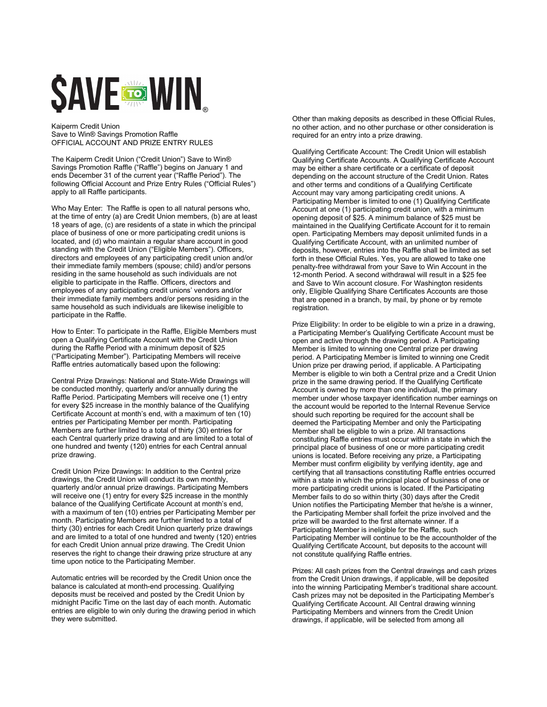## **SAVE COMPUTER**

Kaiperm Credit Union Save to Win® Savings Promotion Raffle OFFICIAL ACCOUNT AND PRIZE ENTRY RULES

The Kaiperm Credit Union ("Credit Union") Save to Win® Savings Promotion Raffle ("Raffle") begins on January 1 and ends December 31 of the current year ("Raffle Period"). The following Official Account and Prize Entry Rules ("Official Rules") apply to all Raffle participants.

Who May Enter: The Raffle is open to all natural persons who, at the time of entry (a) are Credit Union members, (b) are at least 18 years of age, (c) are residents of a state in which the principal place of business of one or more participating credit unions is located, and (d) who maintain a regular share account in good standing with the Credit Union ("Eligible Members"). Officers, directors and employees of any participating credit union and/or their immediate family members (spouse; child) and/or persons residing in the same household as such individuals are not eligible to participate in the Raffle. Officers, directors and employees of any participating credit unions' vendors and/or their immediate family members and/or persons residing in the same household as such individuals are likewise ineligible to participate in the Raffle.

How to Enter: To participate in the Raffle, Eligible Members must open a Qualifying Certificate Account with the Credit Union during the Raffle Period with a minimum deposit of \$25 ("Participating Member"). Participating Members will receive Raffle entries automatically based upon the following:

Central Prize Drawings: National and State-Wide Drawings will be conducted monthly, quarterly and/or annually during the Raffle Period. Participating Members will receive one (1) entry for every \$25 increase in the monthly balance of the Qualifying Certificate Account at month's end, with a maximum of ten (10) entries per Participating Member per month. Participating Members are further limited to a total of thirty (30) entries for each Central quarterly prize drawing and are limited to a total of one hundred and twenty (120) entries for each Central annual prize drawing.

Credit Union Prize Drawings: In addition to the Central prize drawings, the Credit Union will conduct its own monthly, quarterly and/or annual prize drawings. Participating Members will receive one (1) entry for every \$25 increase in the monthly balance of the Qualifying Certificate Account at month's end, with a maximum of ten (10) entries per Participating Member per month. Participating Members are further limited to a total of thirty (30) entries for each Credit Union quarterly prize drawings and are limited to a total of one hundred and twenty (120) entries for each Credit Union annual prize drawing. The Credit Union reserves the right to change their drawing prize structure at any time upon notice to the Participating Member.

Automatic entries will be recorded by the Credit Union once the balance is calculated at month-end processing. Qualifying deposits must be received and posted by the Credit Union by midnight Pacific Time on the last day of each month. Automatic entries are eligible to win only during the drawing period in which they were submitted.

Other than making deposits as described in these Official Rules, no other action, and no other purchase or other consideration is required for an entry into a prize drawing.

Qualifying Certificate Account: The Credit Union will establish Qualifying Certificate Accounts. A Qualifying Certificate Account may be either a share certificate or a certificate of deposit depending on the account structure of the Credit Union. Rates and other terms and conditions of a Qualifying Certificate Account may vary among participating credit unions. A Participating Member is limited to one (1) Qualifying Certificate Account at one (1) participating credit union, with a minimum opening deposit of \$25. A minimum balance of \$25 must be maintained in the Qualifying Certificate Account for it to remain open. Participating Members may deposit unlimited funds in a Qualifying Certificate Account, with an unlimited number of deposits, however, entries into the Raffle shall be limited as set forth in these Official Rules. Yes, you are allowed to take one penalty-free withdrawal from your Save to Win Account in the 12-month Period. A second withdrawal will result in a \$25 fee and Save to Win account closure. For Washington residents only, Eligible Qualifying Share Certificates Accounts are those that are opened in a branch, by mail, by phone or by remote registration.

Prize Eligibility: In order to be eligible to win a prize in a drawing, a Participating Member's Qualifying Certificate Account must be open and active through the drawing period. A Participating Member is limited to winning one Central prize per drawing period. A Participating Member is limited to winning one Credit Union prize per drawing period, if applicable. A Participating Member is eligible to win both a Central prize and a Credit Union prize in the same drawing period. If the Qualifying Certificate Account is owned by more than one individual, the primary member under whose taxpayer identification number earnings on the account would be reported to the Internal Revenue Service should such reporting be required for the account shall be deemed the Participating Member and only the Participating Member shall be eligible to win a prize. All transactions constituting Raffle entries must occur within a state in which the principal place of business of one or more participating credit unions is located. Before receiving any prize, a Participating Member must confirm eligibility by verifying identity, age and certifying that all transactions constituting Raffle entries occurred within a state in which the principal place of business of one or more participating credit unions is located. If the Participating Member fails to do so within thirty (30) days after the Credit Union notifies the Participating Member that he/she is a winner, the Participating Member shall forfeit the prize involved and the prize will be awarded to the first alternate winner. If a Participating Member is ineligible for the Raffle, such Participating Member will continue to be the accountholder of the Qualifying Certificate Account, but deposits to the account will not constitute qualifying Raffle entries.

Prizes: All cash prizes from the Central drawings and cash prizes from the Credit Union drawings, if applicable, will be deposited into the winning Participating Member's traditional share account. Cash prizes may not be deposited in the Participating Member's Qualifying Certificate Account. All Central drawing winning Participating Members and winners from the Credit Union drawings, if applicable, will be selected from among all